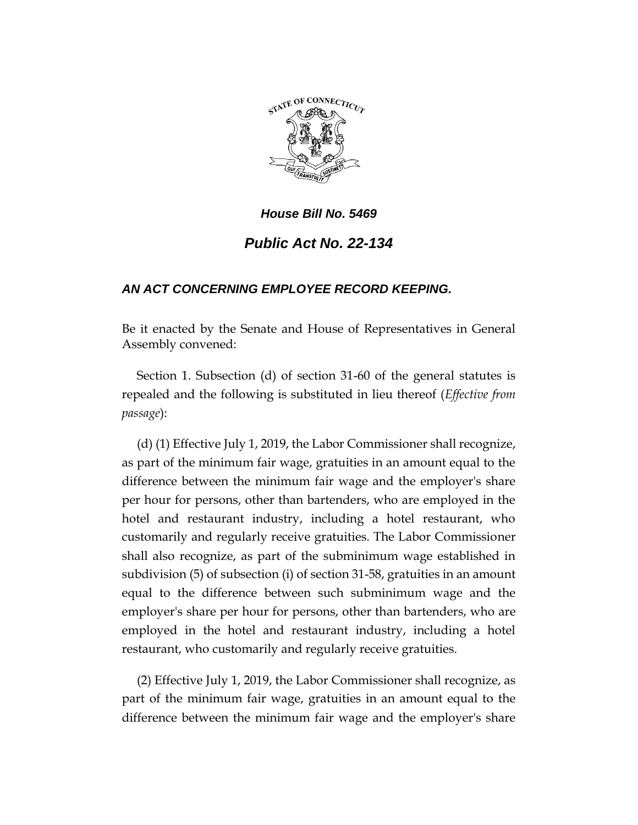

## *House Bill No. 5469 Public Act No. 22-134*

## *AN ACT CONCERNING EMPLOYEE RECORD KEEPING.*

Be it enacted by the Senate and House of Representatives in General Assembly convened:

Section 1. Subsection (d) of section 31-60 of the general statutes is repealed and the following is substituted in lieu thereof (*Effective from passage*):

(d) (1) Effective July 1, 2019, the Labor Commissioner shall recognize, as part of the minimum fair wage, gratuities in an amount equal to the difference between the minimum fair wage and the employer's share per hour for persons, other than bartenders, who are employed in the hotel and restaurant industry, including a hotel restaurant, who customarily and regularly receive gratuities. The Labor Commissioner shall also recognize, as part of the subminimum wage established in subdivision (5) of subsection (i) of section 31-58, gratuities in an amount equal to the difference between such subminimum wage and the employer's share per hour for persons, other than bartenders, who are employed in the hotel and restaurant industry, including a hotel restaurant, who customarily and regularly receive gratuities.

(2) Effective July 1, 2019, the Labor Commissioner shall recognize, as part of the minimum fair wage, gratuities in an amount equal to the difference between the minimum fair wage and the employer's share